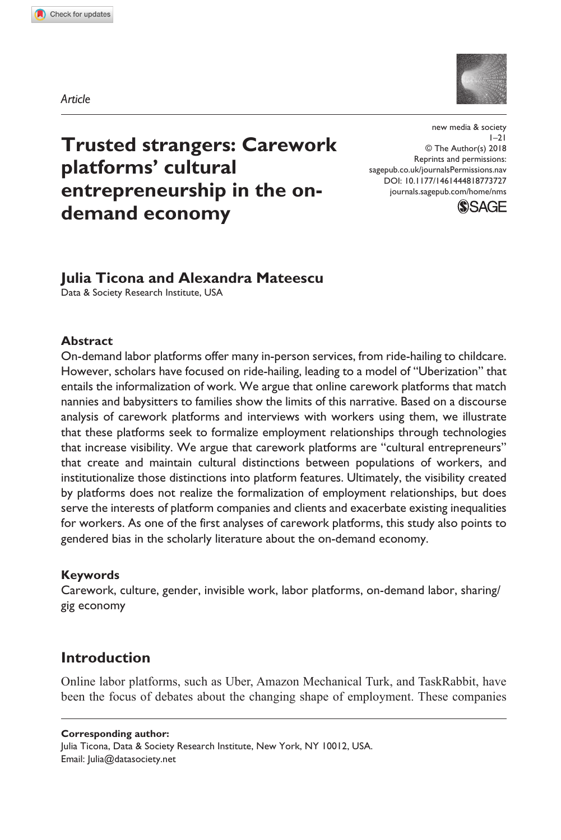*Article*

**7737[27](http://crossmark.crossref.org/dialog/?doi=10.1177%2F1461444818773727&domain=pdf&date_stamp=2018-05-15)** NMS0010.1177/1461444818773727new media & society**Ticona and Mateescu**



# **Trusted strangers: Carework platforms' cultural entrepreneurship in the ondemand economy**

https://doi.org/10.1177/1461444818773727 DOI: 10.1177/1461444818773727 new media & society  $1 - 21$ © The Author(s) 2018 Reprints and permissions: [sagepub.co.uk/journalsPermissions.nav](https://uk.sagepub.com/en-gb/journals-permissions) [journals.sagepub.com/home/nms](https://journals.sagepub.com/home/nms)



# **Julia Ticona and Alexandra Mateescu**

Data & Society Research Institute, USA

## **Abstract**

On-demand labor platforms offer many in-person services, from ride-hailing to childcare. However, scholars have focused on ride-hailing, leading to a model of "Uberization" that entails the informalization of work. We argue that online carework platforms that match nannies and babysitters to families show the limits of this narrative. Based on a discourse analysis of carework platforms and interviews with workers using them, we illustrate that these platforms seek to formalize employment relationships through technologies that increase visibility. We argue that carework platforms are "cultural entrepreneurs" that create and maintain cultural distinctions between populations of workers, and institutionalize those distinctions into platform features. Ultimately, the visibility created by platforms does not realize the formalization of employment relationships, but does serve the interests of platform companies and clients and exacerbate existing inequalities for workers. As one of the first analyses of carework platforms, this study also points to gendered bias in the scholarly literature about the on-demand economy.

## **Keywords**

Carework, culture, gender, invisible work, labor platforms, on-demand labor, sharing/ gig economy

# **Introduction**

Online labor platforms, such as Uber, Amazon Mechanical Turk, and TaskRabbit, have been the focus of debates about the changing shape of employment. These companies

#### **Corresponding author:**

Julia Ticona, Data & Society Research Institute, New York, NY 10012, USA. Email: [Julia@datasociety.net](mailto:Julia@datasociety.net)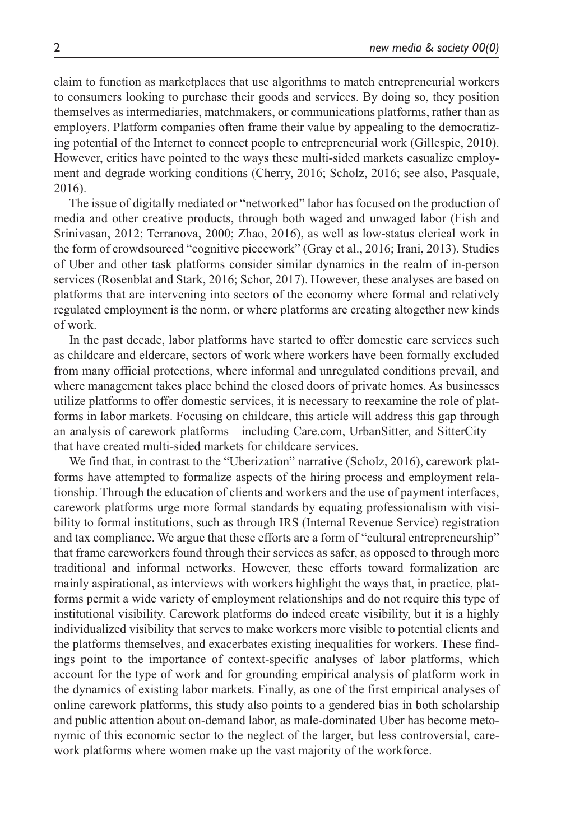claim to function as marketplaces that use algorithms to match entrepreneurial workers to consumers looking to purchase their goods and services. By doing so, they position themselves as intermediaries, matchmakers, or communications platforms, rather than as employers. Platform companies often frame their value by appealing to the democratizing potential of the Internet to connect people to entrepreneurial work (Gillespie, 2010). However, critics have pointed to the ways these multi-sided markets casualize employment and degrade working conditions (Cherry, 2016; Scholz, 2016; see also, Pasquale, 2016).

The issue of digitally mediated or "networked" labor has focused on the production of media and other creative products, through both waged and unwaged labor (Fish and Srinivasan, 2012; Terranova, 2000; Zhao, 2016), as well as low-status clerical work in the form of crowdsourced "cognitive piecework" (Gray et al., 2016; Irani, 2013). Studies of Uber and other task platforms consider similar dynamics in the realm of in-person services (Rosenblat and Stark, 2016; Schor, 2017). However, these analyses are based on platforms that are intervening into sectors of the economy where formal and relatively regulated employment is the norm, or where platforms are creating altogether new kinds of work.

In the past decade, labor platforms have started to offer domestic care services such as childcare and eldercare, sectors of work where workers have been formally excluded from many official protections, where informal and unregulated conditions prevail, and where management takes place behind the closed doors of private homes. As businesses utilize platforms to offer domestic services, it is necessary to reexamine the role of platforms in labor markets. Focusing on childcare, this article will address this gap through an analysis of carework platforms—including [Care.com](http://Care.com), UrbanSitter, and SitterCity that have created multi-sided markets for childcare services.

We find that, in contrast to the "Uberization" narrative (Scholz, 2016), carework platforms have attempted to formalize aspects of the hiring process and employment relationship. Through the education of clients and workers and the use of payment interfaces, carework platforms urge more formal standards by equating professionalism with visibility to formal institutions, such as through IRS (Internal Revenue Service) registration and tax compliance. We argue that these efforts are a form of "cultural entrepreneurship" that frame careworkers found through their services as safer, as opposed to through more traditional and informal networks. However, these efforts toward formalization are mainly aspirational, as interviews with workers highlight the ways that, in practice, platforms permit a wide variety of employment relationships and do not require this type of institutional visibility. Carework platforms do indeed create visibility, but it is a highly individualized visibility that serves to make workers more visible to potential clients and the platforms themselves, and exacerbates existing inequalities for workers. These findings point to the importance of context-specific analyses of labor platforms, which account for the type of work and for grounding empirical analysis of platform work in the dynamics of existing labor markets. Finally, as one of the first empirical analyses of online carework platforms, this study also points to a gendered bias in both scholarship and public attention about on-demand labor, as male-dominated Uber has become metonymic of this economic sector to the neglect of the larger, but less controversial, carework platforms where women make up the vast majority of the workforce.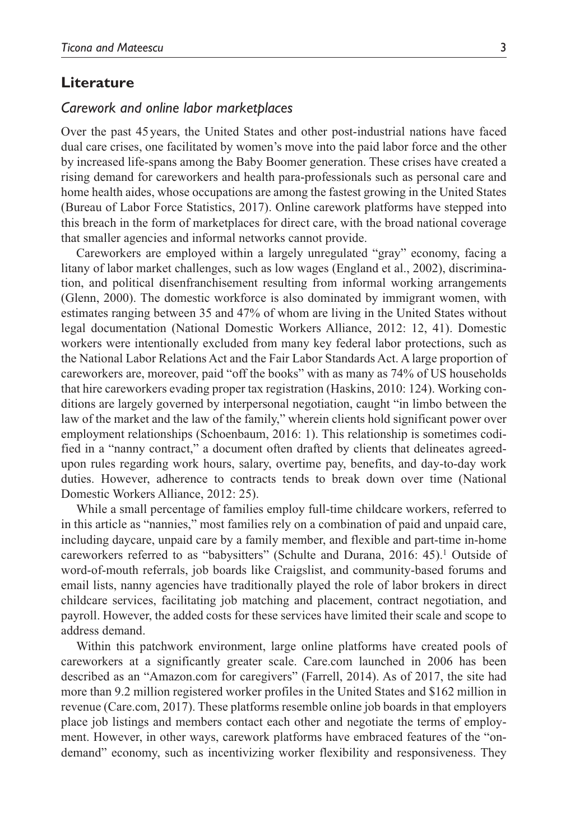## **Literature**

#### *Carework and online labor marketplaces*

Over the past 45years, the United States and other post-industrial nations have faced dual care crises, one facilitated by women's move into the paid labor force and the other by increased life-spans among the Baby Boomer generation. These crises have created a rising demand for careworkers and health para-professionals such as personal care and home health aides, whose occupations are among the fastest growing in the United States (Bureau of Labor Force Statistics, 2017). Online carework platforms have stepped into this breach in the form of marketplaces for direct care, with the broad national coverage that smaller agencies and informal networks cannot provide.

Careworkers are employed within a largely unregulated "gray" economy, facing a litany of labor market challenges, such as low wages (England et al., 2002), discrimination, and political disenfranchisement resulting from informal working arrangements (Glenn, 2000). The domestic workforce is also dominated by immigrant women, with estimates ranging between 35 and 47% of whom are living in the United States without legal documentation (National Domestic Workers Alliance, 2012: 12, 41). Domestic workers were intentionally excluded from many key federal labor protections, such as the National Labor Relations Act and the Fair Labor Standards Act. A large proportion of careworkers are, moreover, paid "off the books" with as many as 74% of US households that hire careworkers evading proper tax registration (Haskins, 2010: 124). Working conditions are largely governed by interpersonal negotiation, caught "in limbo between the law of the market and the law of the family," wherein clients hold significant power over employment relationships (Schoenbaum, 2016: 1). This relationship is sometimes codified in a "nanny contract," a document often drafted by clients that delineates agreedupon rules regarding work hours, salary, overtime pay, benefits, and day-to-day work duties. However, adherence to contracts tends to break down over time (National Domestic Workers Alliance, 2012: 25).

While a small percentage of families employ full-time childcare workers, referred to in this article as "nannies," most families rely on a combination of paid and unpaid care, including daycare, unpaid care by a family member, and flexible and part-time in-home careworkers referred to as "babysitters" (Schulte and Durana, 2016: 45).1 Outside of word-of-mouth referrals, job boards like Craigslist, and community-based forums and email lists, nanny agencies have traditionally played the role of labor brokers in direct childcare services, facilitating job matching and placement, contract negotiation, and payroll. However, the added costs for these services have limited their scale and scope to address demand.

Within this patchwork environment, large online platforms have created pools of careworkers at a significantly greater scale. [Care.com](http://Care.com) launched in 2006 has been described as an "[Amazon.com](http://Amazon.com) for caregivers" (Farrell, 2014). As of 2017, the site had more than 9.2 million registered worker profiles in the United States and \$162 million in revenue [\(Care.com,](http://Care.com) 2017). These platforms resemble online job boards in that employers place job listings and members contact each other and negotiate the terms of employment. However, in other ways, carework platforms have embraced features of the "ondemand" economy, such as incentivizing worker flexibility and responsiveness. They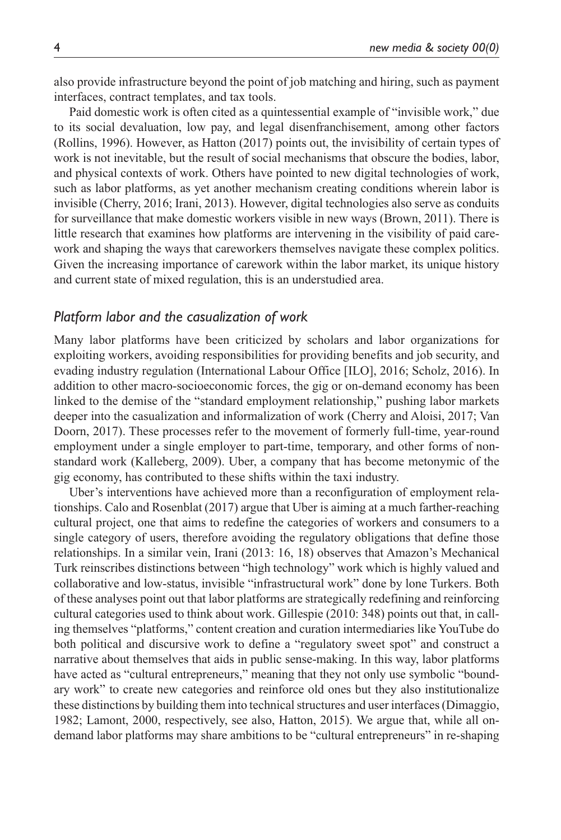also provide infrastructure beyond the point of job matching and hiring, such as payment interfaces, contract templates, and tax tools.

Paid domestic work is often cited as a quintessential example of "invisible work," due to its social devaluation, low pay, and legal disenfranchisement, among other factors (Rollins, 1996). However, as Hatton (2017) points out, the invisibility of certain types of work is not inevitable, but the result of social mechanisms that obscure the bodies, labor, and physical contexts of work. Others have pointed to new digital technologies of work, such as labor platforms, as yet another mechanism creating conditions wherein labor is invisible (Cherry, 2016; Irani, 2013). However, digital technologies also serve as conduits for surveillance that make domestic workers visible in new ways (Brown, 2011). There is little research that examines how platforms are intervening in the visibility of paid carework and shaping the ways that careworkers themselves navigate these complex politics. Given the increasing importance of carework within the labor market, its unique history and current state of mixed regulation, this is an understudied area.

## *Platform labor and the casualization of work*

Many labor platforms have been criticized by scholars and labor organizations for exploiting workers, avoiding responsibilities for providing benefits and job security, and evading industry regulation (International Labour Office [ILO], 2016; Scholz, 2016). In addition to other macro-socioeconomic forces, the gig or on-demand economy has been linked to the demise of the "standard employment relationship," pushing labor markets deeper into the casualization and informalization of work (Cherry and Aloisi, 2017; Van Doorn, 2017). These processes refer to the movement of formerly full-time, year-round employment under a single employer to part-time, temporary, and other forms of nonstandard work (Kalleberg, 2009). Uber, a company that has become metonymic of the gig economy, has contributed to these shifts within the taxi industry.

Uber's interventions have achieved more than a reconfiguration of employment relationships. Calo and Rosenblat (2017) argue that Uber is aiming at a much farther-reaching cultural project, one that aims to redefine the categories of workers and consumers to a single category of users, therefore avoiding the regulatory obligations that define those relationships. In a similar vein, Irani (2013: 16, 18) observes that Amazon's Mechanical Turk reinscribes distinctions between "high technology" work which is highly valued and collaborative and low-status, invisible "infrastructural work" done by lone Turkers. Both of these analyses point out that labor platforms are strategically redefining and reinforcing cultural categories used to think about work. Gillespie (2010: 348) points out that, in calling themselves "platforms," content creation and curation intermediaries like YouTube do both political and discursive work to define a "regulatory sweet spot" and construct a narrative about themselves that aids in public sense-making. In this way, labor platforms have acted as "cultural entrepreneurs," meaning that they not only use symbolic "boundary work" to create new categories and reinforce old ones but they also institutionalize these distinctions by building them into technical structures and user interfaces (Dimaggio, 1982; Lamont, 2000, respectively, see also, Hatton, 2015). We argue that, while all ondemand labor platforms may share ambitions to be "cultural entrepreneurs" in re-shaping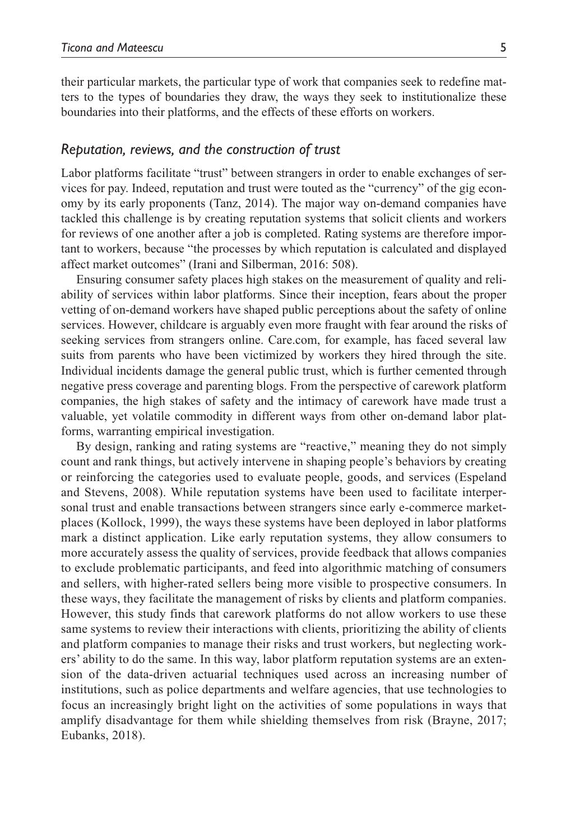their particular markets, the particular type of work that companies seek to redefine matters to the types of boundaries they draw, the ways they seek to institutionalize these boundaries into their platforms, and the effects of these efforts on workers.

## *Reputation, reviews, and the construction of trust*

Labor platforms facilitate "trust" between strangers in order to enable exchanges of services for pay. Indeed, reputation and trust were touted as the "currency" of the gig economy by its early proponents (Tanz, 2014). The major way on-demand companies have tackled this challenge is by creating reputation systems that solicit clients and workers for reviews of one another after a job is completed. Rating systems are therefore important to workers, because "the processes by which reputation is calculated and displayed affect market outcomes" (Irani and Silberman, 2016: 508).

Ensuring consumer safety places high stakes on the measurement of quality and reliability of services within labor platforms. Since their inception, fears about the proper vetting of on-demand workers have shaped public perceptions about the safety of online services. However, childcare is arguably even more fraught with fear around the risks of seeking services from strangers online. [Care.com](http://Care.com), for example, has faced several law suits from parents who have been victimized by workers they hired through the site. Individual incidents damage the general public trust, which is further cemented through negative press coverage and parenting blogs. From the perspective of carework platform companies, the high stakes of safety and the intimacy of carework have made trust a valuable, yet volatile commodity in different ways from other on-demand labor platforms, warranting empirical investigation.

By design, ranking and rating systems are "reactive," meaning they do not simply count and rank things, but actively intervene in shaping people's behaviors by creating or reinforcing the categories used to evaluate people, goods, and services (Espeland and Stevens, 2008). While reputation systems have been used to facilitate interpersonal trust and enable transactions between strangers since early e-commerce marketplaces (Kollock, 1999), the ways these systems have been deployed in labor platforms mark a distinct application. Like early reputation systems, they allow consumers to more accurately assess the quality of services, provide feedback that allows companies to exclude problematic participants, and feed into algorithmic matching of consumers and sellers, with higher-rated sellers being more visible to prospective consumers. In these ways, they facilitate the management of risks by clients and platform companies. However, this study finds that carework platforms do not allow workers to use these same systems to review their interactions with clients, prioritizing the ability of clients and platform companies to manage their risks and trust workers, but neglecting workers' ability to do the same. In this way, labor platform reputation systems are an extension of the data-driven actuarial techniques used across an increasing number of institutions, such as police departments and welfare agencies, that use technologies to focus an increasingly bright light on the activities of some populations in ways that amplify disadvantage for them while shielding themselves from risk (Brayne, 2017; Eubanks, 2018).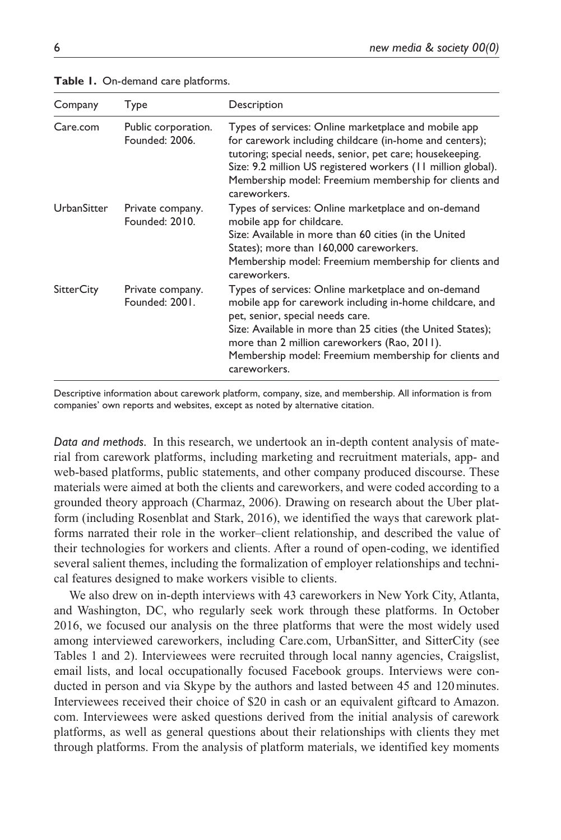| Company     | Type                                  | Description                                                                                                                                                                                                                                                                                                                                 |  |
|-------------|---------------------------------------|---------------------------------------------------------------------------------------------------------------------------------------------------------------------------------------------------------------------------------------------------------------------------------------------------------------------------------------------|--|
| Care.com    | Public corporation.<br>Founded: 2006. | Types of services: Online marketplace and mobile app<br>for carework including childcare (in-home and centers);<br>tutoring; special needs, senior, pet care; housekeeping.<br>Size: 9.2 million US registered workers (11 million global).<br>Membership model: Freemium membership for clients and<br>careworkers.                        |  |
| UrbanSitter | Private company.<br>Founded: 2010.    | Types of services: Online marketplace and on-demand<br>mobile app for childcare.<br>Size: Available in more than 60 cities (in the United<br>States); more than 160,000 careworkers.<br>Membership model: Freemium membership for clients and<br>careworkers.                                                                               |  |
| SitterCity  | Private company.<br>Founded: 2001.    | Types of services: Online marketplace and on-demand<br>mobile app for carework including in-home childcare, and<br>pet, senior, special needs care.<br>Size: Available in more than 25 cities (the United States);<br>more than 2 million careworkers (Rao, 2011).<br>Membership model: Freemium membership for clients and<br>careworkers. |  |

**Table 1.** On-demand care platforms.

Descriptive information about carework platform, company, size, and membership. All information is from companies' own reports and websites, except as noted by alternative citation.

*Data and methods.* In this research, we undertook an in-depth content analysis of material from carework platforms, including marketing and recruitment materials, app- and web-based platforms, public statements, and other company produced discourse. These materials were aimed at both the clients and careworkers, and were coded according to a grounded theory approach (Charmaz, 2006). Drawing on research about the Uber platform (including Rosenblat and Stark, 2016), we identified the ways that carework platforms narrated their role in the worker–client relationship, and described the value of their technologies for workers and clients. After a round of open-coding, we identified several salient themes, including the formalization of employer relationships and technical features designed to make workers visible to clients.

We also drew on in-depth interviews with 43 careworkers in New York City, Atlanta, and Washington, DC, who regularly seek work through these platforms. In October 2016, we focused our analysis on the three platforms that were the most widely used among interviewed careworkers, including [Care.com](http://Care.com), UrbanSitter, and SitterCity (see Tables 1 and 2). Interviewees were recruited through local nanny agencies, Craigslist, email lists, and local occupationally focused Facebook groups. Interviews were conducted in person and via Skype by the authors and lasted between 45 and 120minutes. Interviewees received their choice of \$20 in cash or an equivalent giftcard to [Amazon.](http://Amazon.com) [com.](http://Amazon.com) Interviewees were asked questions derived from the initial analysis of carework platforms, as well as general questions about their relationships with clients they met through platforms. From the analysis of platform materials, we identified key moments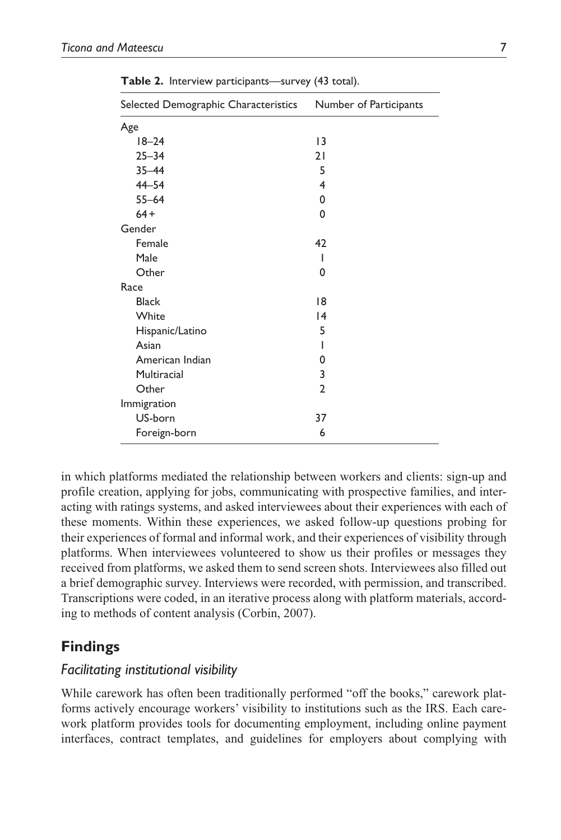| Selected Demographic Characteristics | Number of Participants |  |
|--------------------------------------|------------------------|--|
| Age                                  |                        |  |
| $18 - 24$                            | $\overline{13}$        |  |
| $25 - 34$                            | 21                     |  |
| $35 - 44$                            | 5                      |  |
| $44 - 54$                            | 4                      |  |
| $55 - 64$                            | 0                      |  |
| $64+$                                | 0                      |  |
| Gender                               |                        |  |
| Female                               | 42                     |  |
| Male                                 | ı                      |  |
| Other                                | 0                      |  |
| Race                                 |                        |  |
| <b>Black</b>                         | 18                     |  |
| White                                | $\overline{14}$        |  |
| Hispanic/Latino                      | 5                      |  |
| Asian                                | ı                      |  |
| American Indian                      | 0                      |  |
| Multiracial                          | 3                      |  |
| Other                                | $\overline{2}$         |  |
| Immigration                          |                        |  |
| US-born                              | 37                     |  |
| Foreign-born                         | 6                      |  |

**Table 2.** Interview participants—survey (43 total).

in which platforms mediated the relationship between workers and clients: sign-up and profile creation, applying for jobs, communicating with prospective families, and interacting with ratings systems, and asked interviewees about their experiences with each of these moments. Within these experiences, we asked follow-up questions probing for their experiences of formal and informal work, and their experiences of visibility through platforms. When interviewees volunteered to show us their profiles or messages they received from platforms, we asked them to send screen shots. Interviewees also filled out a brief demographic survey. Interviews were recorded, with permission, and transcribed. Transcriptions were coded, in an iterative process along with platform materials, according to methods of content analysis (Corbin, 2007).

# **Findings**

## *Facilitating institutional visibility*

While carework has often been traditionally performed "off the books," carework platforms actively encourage workers' visibility to institutions such as the IRS. Each carework platform provides tools for documenting employment, including online payment interfaces, contract templates, and guidelines for employers about complying with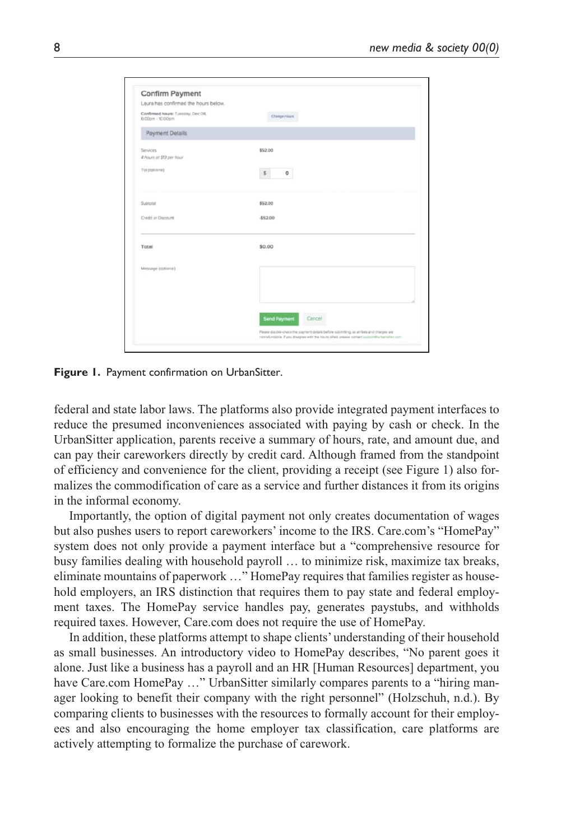| <b>Confirm Payment</b>                                |                                                                                                                                                                                  |  |  |
|-------------------------------------------------------|----------------------------------------------------------------------------------------------------------------------------------------------------------------------------------|--|--|
| Laura has confirmed the hours below.                  |                                                                                                                                                                                  |  |  |
| Confirmed hours: Tuesday, Dec 08.<br>6:00pm - 10:00pm | Change Hours                                                                                                                                                                     |  |  |
| <b>Payment Details</b>                                |                                                                                                                                                                                  |  |  |
| Services<br>4 hours at \$13 per hour                  | \$52.00                                                                                                                                                                          |  |  |
| Tip (optional)                                        | $\ddot{\phantom{1}3}$<br>$\circ$                                                                                                                                                 |  |  |
| Subtotal                                              | \$52,00                                                                                                                                                                          |  |  |
| Credit or Discount                                    | \$52.00                                                                                                                                                                          |  |  |
| Total                                                 | \$0.00                                                                                                                                                                           |  |  |
| Message (optional)                                    |                                                                                                                                                                                  |  |  |
|                                                       |                                                                                                                                                                                  |  |  |
|                                                       | Cancel<br><b>Send Payment</b>                                                                                                                                                    |  |  |
|                                                       | Please double-check the payment details before submitting, as all fees and charges are<br>nemaßmästle. Eyou disagree with the hours blied, please contact support@urbansfor.com. |  |  |

**Figure 1.** Payment confirmation on UrbanSitter.

federal and state labor laws. The platforms also provide integrated payment interfaces to reduce the presumed inconveniences associated with paying by cash or check. In the UrbanSitter application, parents receive a summary of hours, rate, and amount due, and can pay their careworkers directly by credit card. Although framed from the standpoint of efficiency and convenience for the client, providing a receipt (see Figure 1) also formalizes the commodification of care as a service and further distances it from its origins in the informal economy.

Importantly, the option of digital payment not only creates documentation of wages but also pushes users to report careworkers' income to the IRS. [Care.com](http://Care.com)'s "HomePay" system does not only provide a payment interface but a "comprehensive resource for busy families dealing with household payroll … to minimize risk, maximize tax breaks, eliminate mountains of paperwork …" HomePay requires that families register as household employers, an IRS distinction that requires them to pay state and federal employment taxes. The HomePay service handles pay, generates paystubs, and withholds required taxes. However, [Care.com](http://Care.com) does not require the use of HomePay.

In addition, these platforms attempt to shape clients' understanding of their household as small businesses. An introductory video to HomePay describes, "No parent goes it alone. Just like a business has a payroll and an HR [Human Resources] department, you have [Care.com](http://Care.com) HomePay ..." UrbanSitter similarly compares parents to a "hiring manager looking to benefit their company with the right personnel" (Holzschuh, n.d.). By comparing clients to businesses with the resources to formally account for their employees and also encouraging the home employer tax classification, care platforms are actively attempting to formalize the purchase of carework.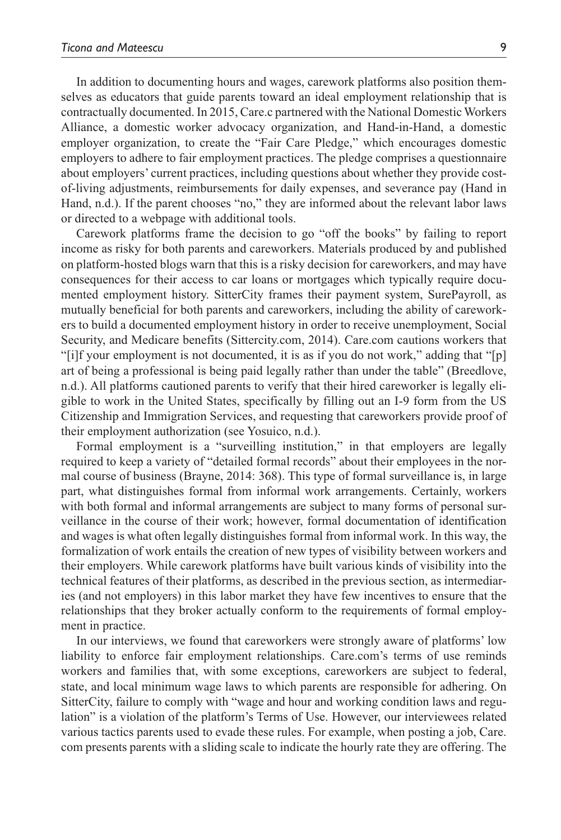In addition to documenting hours and wages, carework platforms also position themselves as educators that guide parents toward an ideal employment relationship that is contractually documented. In 2015, [Care.c](http://Care.com) partnered with the National Domestic Workers Alliance, a domestic worker advocacy organization, and Hand-in-Hand, a domestic employer organization, to create the "Fair Care Pledge," which encourages domestic employers to adhere to fair employment practices. The pledge comprises a questionnaire about employers' current practices, including questions about whether they provide costof-living adjustments, reimbursements for daily expenses, and severance pay (Hand in Hand, n.d.). If the parent chooses "no," they are informed about the relevant labor laws or directed to a webpage with additional tools.

Carework platforms frame the decision to go "off the books" by failing to report income as risky for both parents and careworkers. Materials produced by and published on platform-hosted blogs warn that this is a risky decision for careworkers, and may have consequences for their access to car loans or mortgages which typically require documented employment history. SitterCity frames their payment system, SurePayroll, as mutually beneficial for both parents and careworkers, including the ability of careworkers to build a documented employment history in order to receive unemployment, Social Security, and Medicare benefits [\(Sittercity.com,](http://Sittercity.com) 2014). [Care.com](http://Care.com) cautions workers that "[i]f your employment is not documented, it is as if you do not work," adding that "[p] art of being a professional is being paid legally rather than under the table" (Breedlove, n.d.). All platforms cautioned parents to verify that their hired careworker is legally eligible to work in the United States, specifically by filling out an I-9 form from the US Citizenship and Immigration Services, and requesting that careworkers provide proof of their employment authorization (see Yosuico, n.d.).

Formal employment is a "surveilling institution," in that employers are legally required to keep a variety of "detailed formal records" about their employees in the normal course of business (Brayne, 2014: 368). This type of formal surveillance is, in large part, what distinguishes formal from informal work arrangements. Certainly, workers with both formal and informal arrangements are subject to many forms of personal surveillance in the course of their work; however, formal documentation of identification and wages is what often legally distinguishes formal from informal work. In this way, the formalization of work entails the creation of new types of visibility between workers and their employers. While carework platforms have built various kinds of visibility into the technical features of their platforms, as described in the previous section, as intermediaries (and not employers) in this labor market they have few incentives to ensure that the relationships that they broker actually conform to the requirements of formal employment in practice.

In our interviews, we found that careworkers were strongly aware of platforms' low liability to enforce fair employment relationships. [Care.com](http://Care.com)'s terms of use reminds workers and families that, with some exceptions, careworkers are subject to federal, state, and local minimum wage laws to which parents are responsible for adhering. On SitterCity, failure to comply with "wage and hour and working condition laws and regulation" is a violation of the platform's Terms of Use. However, our interviewees related various tactics parents used to evade these rules. For example, when posting a job, [Care.](http://Care.com) [com](http://Care.com) presents parents with a sliding scale to indicate the hourly rate they are offering. The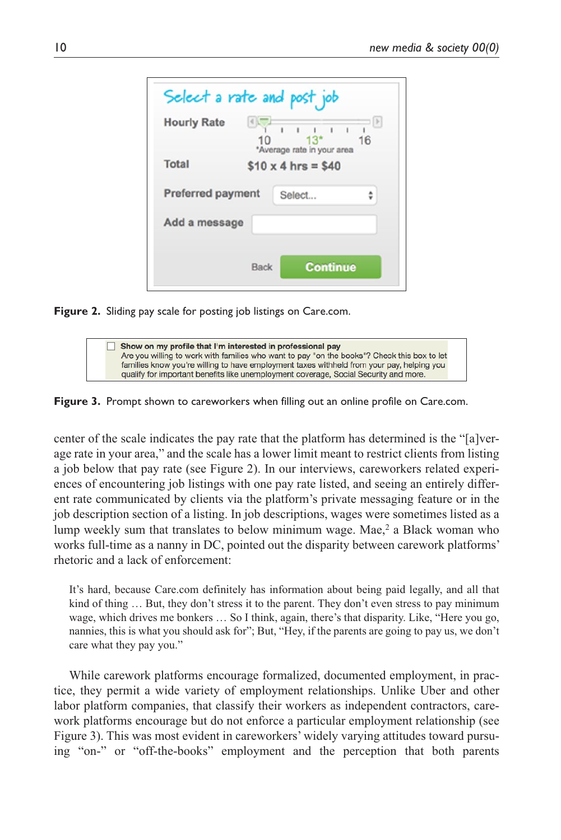| <b>Hourly Rate</b>       |      | ×.<br>$\mathbf{I}$<br>ı<br>131<br>*Average rate in your area | 16              |
|--------------------------|------|--------------------------------------------------------------|-----------------|
| <b>Total</b>             |      | $$10 \times 4$ hrs = \$40                                    |                 |
| <b>Preferred payment</b> |      | Select                                                       | ٥               |
| Add a message            |      |                                                              |                 |
|                          | Back |                                                              | <b>Continue</b> |

**Figure 2.** Sliding pay scale for posting job listings on [Care.com.](http://Care.com)



**Figure 3.** Prompt shown to careworkers when filling out an online profile on [Care.com](http://Care.com).

center of the scale indicates the pay rate that the platform has determined is the "[a]verage rate in your area," and the scale has a lower limit meant to restrict clients from listing a job below that pay rate (see Figure 2). In our interviews, careworkers related experiences of encountering job listings with one pay rate listed, and seeing an entirely different rate communicated by clients via the platform's private messaging feature or in the job description section of a listing. In job descriptions, wages were sometimes listed as a lump weekly sum that translates to below minimum wage. Mae, $\alpha$  a Black woman who works full-time as a nanny in DC, pointed out the disparity between carework platforms' rhetoric and a lack of enforcement:

It's hard, because [Care.com](http://Care.com) definitely has information about being paid legally, and all that kind of thing ... But, they don't stress it to the parent. They don't even stress to pay minimum wage, which drives me bonkers … So I think, again, there's that disparity. Like, "Here you go, nannies, this is what you should ask for"; But, "Hey, if the parents are going to pay us, we don't care what they pay you."

While carework platforms encourage formalized, documented employment, in practice, they permit a wide variety of employment relationships. Unlike Uber and other labor platform companies, that classify their workers as independent contractors, carework platforms encourage but do not enforce a particular employment relationship (see Figure 3). This was most evident in careworkers' widely varying attitudes toward pursuing "on-" or "off-the-books" employment and the perception that both parents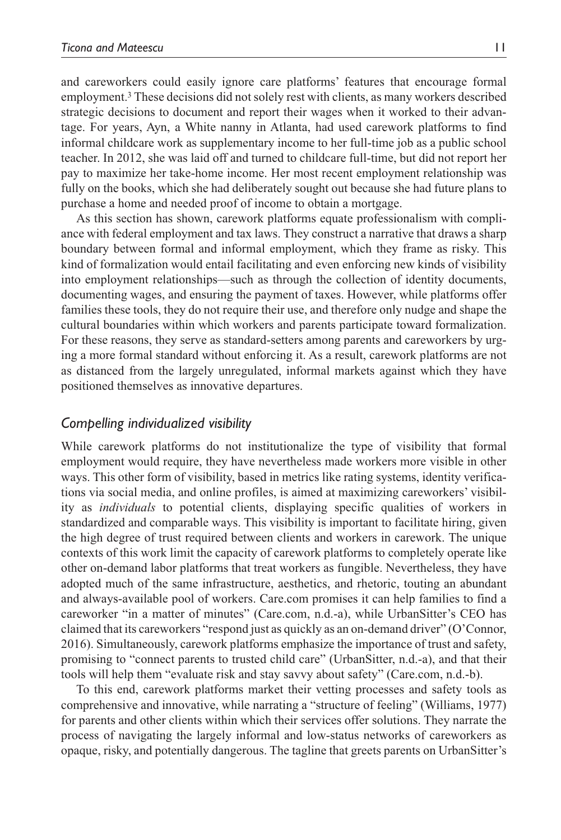and careworkers could easily ignore care platforms' features that encourage formal employment.3 These decisions did not solely rest with clients, as many workers described strategic decisions to document and report their wages when it worked to their advantage. For years, Ayn, a White nanny in Atlanta, had used carework platforms to find informal childcare work as supplementary income to her full-time job as a public school teacher. In 2012, she was laid off and turned to childcare full-time, but did not report her pay to maximize her take-home income. Her most recent employment relationship was fully on the books, which she had deliberately sought out because she had future plans to purchase a home and needed proof of income to obtain a mortgage.

As this section has shown, carework platforms equate professionalism with compliance with federal employment and tax laws. They construct a narrative that draws a sharp boundary between formal and informal employment, which they frame as risky. This kind of formalization would entail facilitating and even enforcing new kinds of visibility into employment relationships—such as through the collection of identity documents, documenting wages, and ensuring the payment of taxes. However, while platforms offer families these tools, they do not require their use, and therefore only nudge and shape the cultural boundaries within which workers and parents participate toward formalization. For these reasons, they serve as standard-setters among parents and careworkers by urging a more formal standard without enforcing it. As a result, carework platforms are not as distanced from the largely unregulated, informal markets against which they have positioned themselves as innovative departures.

## *Compelling individualized visibility*

While carework platforms do not institutionalize the type of visibility that formal employment would require, they have nevertheless made workers more visible in other ways. This other form of visibility, based in metrics like rating systems, identity verifications via social media, and online profiles, is aimed at maximizing careworkers' visibility as *individuals* to potential clients, displaying specific qualities of workers in standardized and comparable ways. This visibility is important to facilitate hiring, given the high degree of trust required between clients and workers in carework. The unique contexts of this work limit the capacity of carework platforms to completely operate like other on-demand labor platforms that treat workers as fungible. Nevertheless, they have adopted much of the same infrastructure, aesthetics, and rhetoric, touting an abundant and always-available pool of workers. [Care.com](http://Care.com) promises it can help families to find a careworker "in a matter of minutes" ([Care.com](http://Care.com), n.d.-a), while UrbanSitter's CEO has claimed that its careworkers "respond just as quickly as an on-demand driver" (O'Connor, 2016). Simultaneously, carework platforms emphasize the importance of trust and safety, promising to "connect parents to trusted child care" (UrbanSitter, n.d.-a), and that their tools will help them "evaluate risk and stay savvy about safety" [\(Care.com](http://Care.com), n.d.-b).

To this end, carework platforms market their vetting processes and safety tools as comprehensive and innovative, while narrating a "structure of feeling" (Williams, 1977) for parents and other clients within which their services offer solutions. They narrate the process of navigating the largely informal and low-status networks of careworkers as opaque, risky, and potentially dangerous. The tagline that greets parents on UrbanSitter's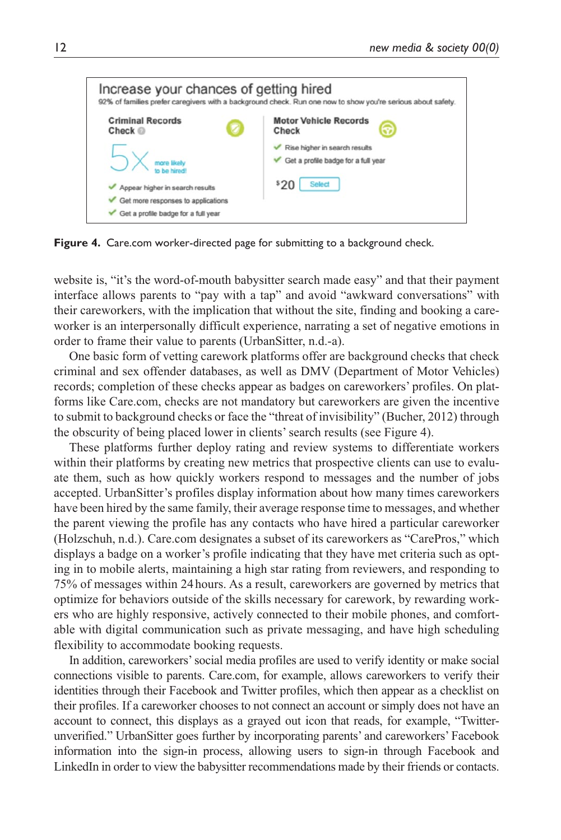| Increase your chances of getting hired             | 92% of families prefer caregivers with a background check. Run one now to show you're serious about safety. |
|----------------------------------------------------|-------------------------------------------------------------------------------------------------------------|
| <b>Criminal Records</b><br>Ø<br>Check <sup>@</sup> | <b>Motor Vehicle Records</b><br>ဂာ<br>Check                                                                 |
| more likely                                        | $\checkmark$ Rise higher in search results<br>Get a profile badge for a full year                           |
| Appear higher in search results                    | \$20<br><b>Select</b>                                                                                       |
| Get more responses to applications                 |                                                                                                             |
| Get a profile badge for a full year                |                                                                                                             |

**Figure 4.** [Care.com](http://Care.com) worker-directed page for submitting to a background check.

website is, "it's the word-of-mouth babysitter search made easy" and that their payment interface allows parents to "pay with a tap" and avoid "awkward conversations" with their careworkers, with the implication that without the site, finding and booking a careworker is an interpersonally difficult experience, narrating a set of negative emotions in order to frame their value to parents (UrbanSitter, n.d.-a).

One basic form of vetting carework platforms offer are background checks that check criminal and sex offender databases, as well as DMV (Department of Motor Vehicles) records; completion of these checks appear as badges on careworkers' profiles. On platforms like [Care.com,](http://Care.com) checks are not mandatory but careworkers are given the incentive to submit to background checks or face the "threat of invisibility" (Bucher, 2012) through the obscurity of being placed lower in clients' search results (see Figure 4).

These platforms further deploy rating and review systems to differentiate workers within their platforms by creating new metrics that prospective clients can use to evaluate them, such as how quickly workers respond to messages and the number of jobs accepted. UrbanSitter's profiles display information about how many times careworkers have been hired by the same family, their average response time to messages, and whether the parent viewing the profile has any contacts who have hired a particular careworker (Holzschuh, n.d.). [Care.com](http://Care.com) designates a subset of its careworkers as "CarePros," which displays a badge on a worker's profile indicating that they have met criteria such as opting in to mobile alerts, maintaining a high star rating from reviewers, and responding to 75% of messages within 24hours. As a result, careworkers are governed by metrics that optimize for behaviors outside of the skills necessary for carework, by rewarding workers who are highly responsive, actively connected to their mobile phones, and comfortable with digital communication such as private messaging, and have high scheduling flexibility to accommodate booking requests.

In addition, careworkers' social media profiles are used to verify identity or make social connections visible to parents. [Care.com](http://Care.com), for example, allows careworkers to verify their identities through their Facebook and Twitter profiles, which then appear as a checklist on their profiles. If a careworker chooses to not connect an account or simply does not have an account to connect, this displays as a grayed out icon that reads, for example, "Twitterunverified." UrbanSitter goes further by incorporating parents' and careworkers' Facebook information into the sign-in process, allowing users to sign-in through Facebook and LinkedIn in order to view the babysitter recommendations made by their friends or contacts.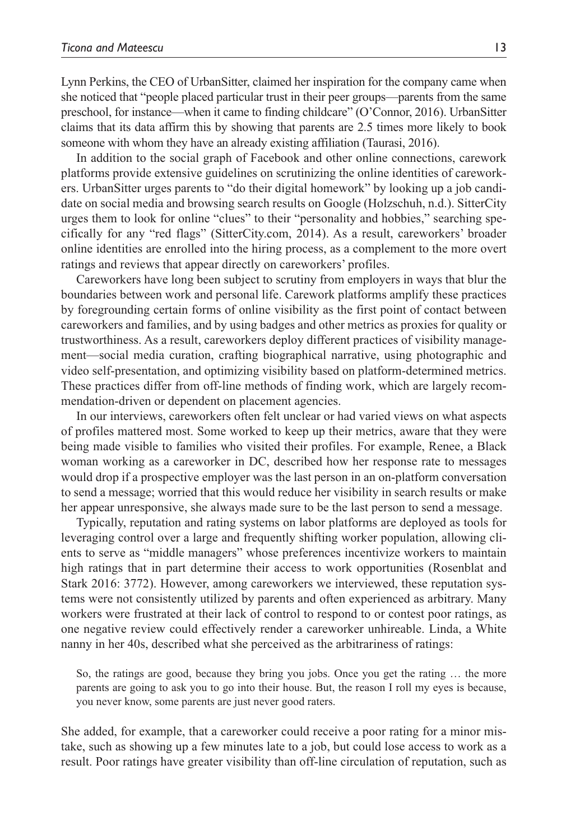Lynn Perkins, the CEO of UrbanSitter, claimed her inspiration for the company came when she noticed that "people placed particular trust in their peer groups—parents from the same preschool, for instance—when it came to finding childcare" (O'Connor, 2016). UrbanSitter claims that its data affirm this by showing that parents are 2.5 times more likely to book someone with whom they have an already existing affiliation (Taurasi, 2016).

In addition to the social graph of Facebook and other online connections, carework platforms provide extensive guidelines on scrutinizing the online identities of careworkers. UrbanSitter urges parents to "do their digital homework" by looking up a job candidate on social media and browsing search results on Google (Holzschuh, n.d.). SitterCity urges them to look for online "clues" to their "personality and hobbies," searching specifically for any "red flags" ([SitterCity.com,](http://SitterCity.com) 2014). As a result, careworkers' broader online identities are enrolled into the hiring process, as a complement to the more overt ratings and reviews that appear directly on careworkers' profiles.

Careworkers have long been subject to scrutiny from employers in ways that blur the boundaries between work and personal life. Carework platforms amplify these practices by foregrounding certain forms of online visibility as the first point of contact between careworkers and families, and by using badges and other metrics as proxies for quality or trustworthiness. As a result, careworkers deploy different practices of visibility management—social media curation, crafting biographical narrative, using photographic and video self-presentation, and optimizing visibility based on platform-determined metrics. These practices differ from off-line methods of finding work, which are largely recommendation-driven or dependent on placement agencies.

In our interviews, careworkers often felt unclear or had varied views on what aspects of profiles mattered most. Some worked to keep up their metrics, aware that they were being made visible to families who visited their profiles. For example, Renee, a Black woman working as a careworker in DC, described how her response rate to messages would drop if a prospective employer was the last person in an on-platform conversation to send a message; worried that this would reduce her visibility in search results or make her appear unresponsive, she always made sure to be the last person to send a message.

Typically, reputation and rating systems on labor platforms are deployed as tools for leveraging control over a large and frequently shifting worker population, allowing clients to serve as "middle managers" whose preferences incentivize workers to maintain high ratings that in part determine their access to work opportunities (Rosenblat and Stark 2016: 3772). However, among careworkers we interviewed, these reputation systems were not consistently utilized by parents and often experienced as arbitrary. Many workers were frustrated at their lack of control to respond to or contest poor ratings, as one negative review could effectively render a careworker unhireable. Linda, a White nanny in her 40s, described what she perceived as the arbitrariness of ratings:

So, the ratings are good, because they bring you jobs. Once you get the rating … the more parents are going to ask you to go into their house. But, the reason I roll my eyes is because, you never know, some parents are just never good raters.

She added, for example, that a careworker could receive a poor rating for a minor mistake, such as showing up a few minutes late to a job, but could lose access to work as a result. Poor ratings have greater visibility than off-line circulation of reputation, such as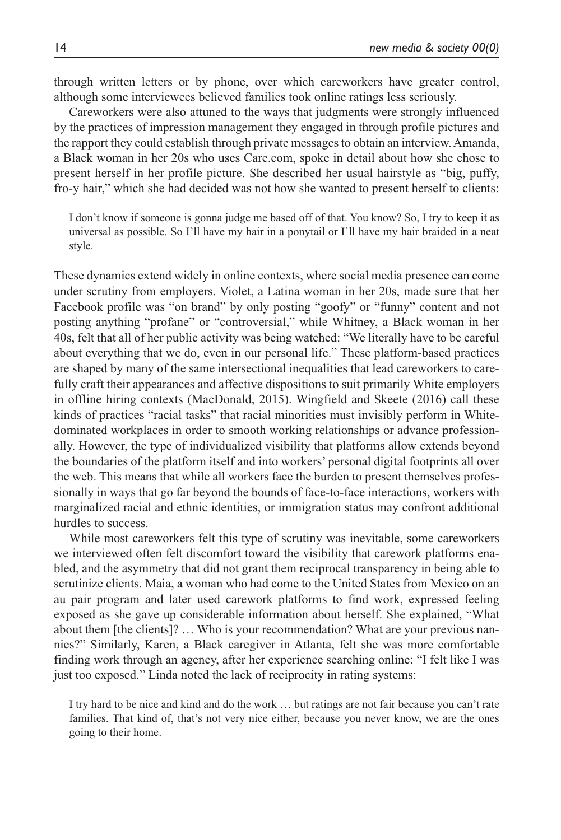through written letters or by phone, over which careworkers have greater control, although some interviewees believed families took online ratings less seriously.

Careworkers were also attuned to the ways that judgments were strongly influenced by the practices of impression management they engaged in through profile pictures and the rapport they could establish through private messages to obtain an interview. Amanda, a Black woman in her 20s who uses [Care.com](http://Care.com), spoke in detail about how she chose to present herself in her profile picture. She described her usual hairstyle as "big, puffy, fro-y hair," which she had decided was not how she wanted to present herself to clients:

I don't know if someone is gonna judge me based off of that. You know? So, I try to keep it as universal as possible. So I'll have my hair in a ponytail or I'll have my hair braided in a neat style.

These dynamics extend widely in online contexts, where social media presence can come under scrutiny from employers. Violet, a Latina woman in her 20s, made sure that her Facebook profile was "on brand" by only posting "goofy" or "funny" content and not posting anything "profane" or "controversial," while Whitney, a Black woman in her 40s, felt that all of her public activity was being watched: "We literally have to be careful about everything that we do, even in our personal life." These platform-based practices are shaped by many of the same intersectional inequalities that lead careworkers to carefully craft their appearances and affective dispositions to suit primarily White employers in offline hiring contexts (MacDonald, 2015). Wingfield and Skeete (2016) call these kinds of practices "racial tasks" that racial minorities must invisibly perform in Whitedominated workplaces in order to smooth working relationships or advance professionally. However, the type of individualized visibility that platforms allow extends beyond the boundaries of the platform itself and into workers' personal digital footprints all over the web. This means that while all workers face the burden to present themselves professionally in ways that go far beyond the bounds of face-to-face interactions, workers with marginalized racial and ethnic identities, or immigration status may confront additional hurdles to success.

While most careworkers felt this type of scrutiny was inevitable, some careworkers we interviewed often felt discomfort toward the visibility that carework platforms enabled, and the asymmetry that did not grant them reciprocal transparency in being able to scrutinize clients. Maia, a woman who had come to the United States from Mexico on an au pair program and later used carework platforms to find work, expressed feeling exposed as she gave up considerable information about herself. She explained, "What about them [the clients]? … Who is your recommendation? What are your previous nannies?" Similarly, Karen, a Black caregiver in Atlanta, felt she was more comfortable finding work through an agency, after her experience searching online: "I felt like I was just too exposed." Linda noted the lack of reciprocity in rating systems:

I try hard to be nice and kind and do the work … but ratings are not fair because you can't rate families. That kind of, that's not very nice either, because you never know, we are the ones going to their home.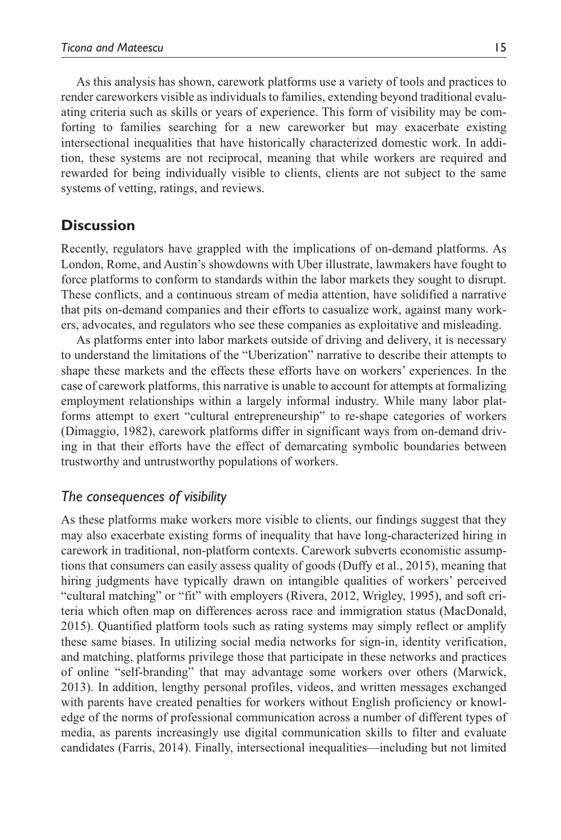As this analysis has shown, carework platforms use a variety of tools and practices to render careworkers visible as individuals to families, extending beyond traditional evaluating criteria such as skills or years of experience. This form of visibility may be comforting to families searching for a new careworker but may exacerbate existing intersectional inequalities that have historically characterized domestic work. In addition, these systems are not reciprocal, meaning that while workers are required and rewarded for being individually visible to clients, clients are not subject to the same systems of vetting, ratings, and reviews.

## **Discussion**

Recently, regulators have grappled with the implications of on-demand platforms. As London, Rome, and Austin's showdowns with Uber illustrate, lawmakers have fought to force platforms to conform to standards within the labor markets they sought to disrupt. These conflicts, and a continuous stream of media attention, have solidified a narrative that pits on-demand companies and their efforts to casualize work, against many workers, advocates, and regulators who see these companies as exploitative and misleading.

As platforms enter into labor markets outside of driving and delivery, it is necessary to understand the limitations of the "Uberization" narrative to describe their attempts to shape these markets and the effects these efforts have on workers' experiences. In the case of carework platforms, this narrative is unable to account for attempts at formalizing employment relationships within a largely informal industry. While many labor platforms attempt to exert "cultural entrepreneurship" to re-shape categories of workers (Dimaggio, 1982), carework platforms differ in significant ways from on-demand driving in that their efforts have the effect of demarcating symbolic boundaries between trustworthy and untrustworthy populations of workers.

## *The consequences of visibility*

As these platforms make workers more visible to clients, our findings suggest that they may also exacerbate existing forms of inequality that have long-characterized hiring in carework in traditional, non-platform contexts. Carework subverts economistic assumptions that consumers can easily assess quality of goods (Duffy et al., 2015), meaning that hiring judgments have typically drawn on intangible qualities of workers' perceived "cultural matching" or "fit" with employers (Rivera, 2012, Wrigley, 1995), and soft criteria which often map on differences across race and immigration status (MacDonald, 2015). Quantified platform tools such as rating systems may simply reflect or amplify these same biases. In utilizing social media networks for sign-in, identity verification, and matching, platforms privilege those that participate in these networks and practices of online "self-branding" that may advantage some workers over others (Marwick, 2013). In addition, lengthy personal profiles, videos, and written messages exchanged with parents have created penalties for workers without English proficiency or knowledge of the norms of professional communication across a number of different types of media, as parents increasingly use digital communication skills to filter and evaluate candidates (Farris, 2014). Finally, intersectional inequalities—including but not limited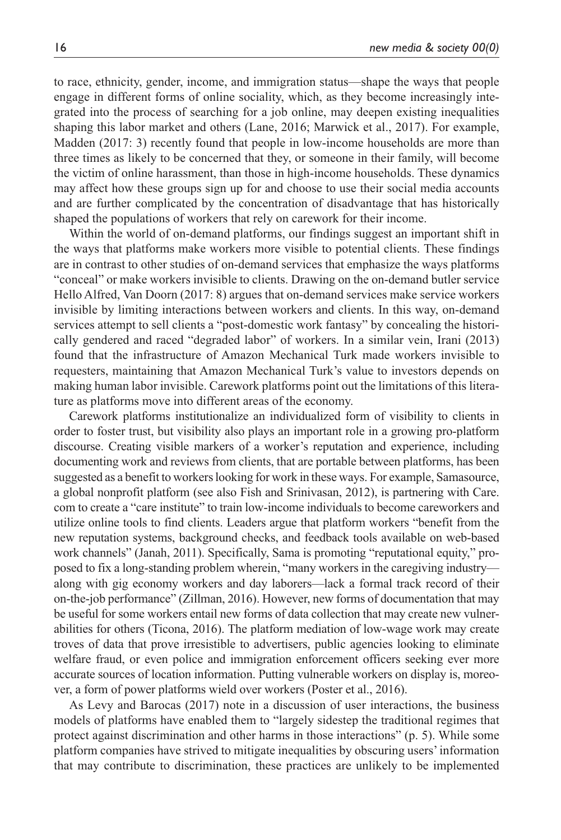to race, ethnicity, gender, income, and immigration status—shape the ways that people engage in different forms of online sociality, which, as they become increasingly integrated into the process of searching for a job online, may deepen existing inequalities shaping this labor market and others (Lane, 2016; Marwick et al., 2017). For example, Madden (2017: 3) recently found that people in low-income households are more than three times as likely to be concerned that they, or someone in their family, will become the victim of online harassment, than those in high-income households. These dynamics may affect how these groups sign up for and choose to use their social media accounts and are further complicated by the concentration of disadvantage that has historically shaped the populations of workers that rely on carework for their income.

Within the world of on-demand platforms, our findings suggest an important shift in the ways that platforms make workers more visible to potential clients. These findings are in contrast to other studies of on-demand services that emphasize the ways platforms "conceal" or make workers invisible to clients. Drawing on the on-demand butler service Hello Alfred, Van Doorn (2017: 8) argues that on-demand services make service workers invisible by limiting interactions between workers and clients. In this way, on-demand services attempt to sell clients a "post-domestic work fantasy" by concealing the historically gendered and raced "degraded labor" of workers. In a similar vein, Irani (2013) found that the infrastructure of Amazon Mechanical Turk made workers invisible to requesters, maintaining that Amazon Mechanical Turk's value to investors depends on making human labor invisible. Carework platforms point out the limitations of this literature as platforms move into different areas of the economy.

Carework platforms institutionalize an individualized form of visibility to clients in order to foster trust, but visibility also plays an important role in a growing pro-platform discourse. Creating visible markers of a worker's reputation and experience, including documenting work and reviews from clients, that are portable between platforms, has been suggested as a benefit to workers looking for work in these ways. For example, Samasource, a global nonprofit platform (see also Fish and Srinivasan, 2012), is partnering with [Care.](http://Care.com) [com](http://Care.com) to create a "care institute" to train low-income individuals to become careworkers and utilize online tools to find clients. Leaders argue that platform workers "benefit from the new reputation systems, background checks, and feedback tools available on web-based work channels" (Janah, 2011). Specifically, Sama is promoting "reputational equity," proposed to fix a long-standing problem wherein, "many workers in the caregiving industry along with gig economy workers and day laborers—lack a formal track record of their on-the-job performance" (Zillman, 2016). However, new forms of documentation that may be useful for some workers entail new forms of data collection that may create new vulnerabilities for others (Ticona, 2016). The platform mediation of low-wage work may create troves of data that prove irresistible to advertisers, public agencies looking to eliminate welfare fraud, or even police and immigration enforcement officers seeking ever more accurate sources of location information. Putting vulnerable workers on display is, moreover, a form of power platforms wield over workers (Poster et al., 2016).

As Levy and Barocas (2017) note in a discussion of user interactions, the business models of platforms have enabled them to "largely sidestep the traditional regimes that protect against discrimination and other harms in those interactions" (p. 5). While some platform companies have strived to mitigate inequalities by obscuring users' information that may contribute to discrimination, these practices are unlikely to be implemented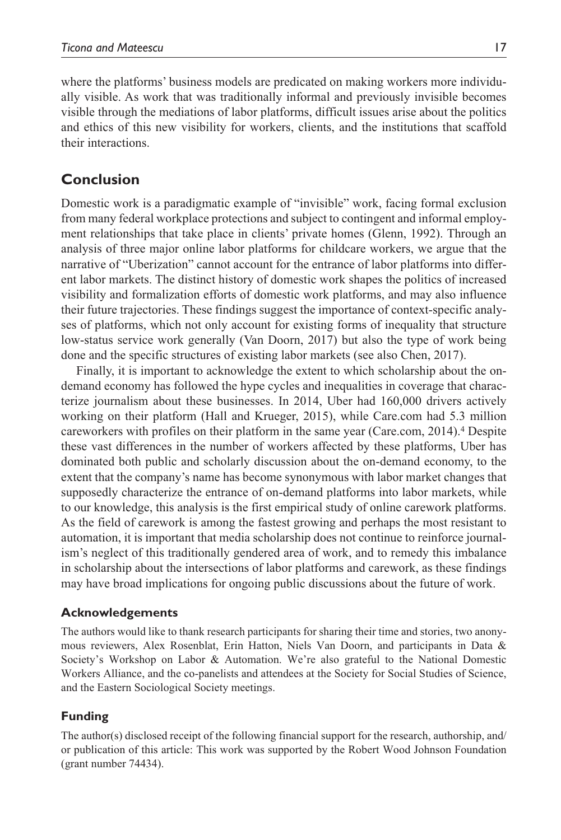where the platforms' business models are predicated on making workers more individually visible. As work that was traditionally informal and previously invisible becomes visible through the mediations of labor platforms, difficult issues arise about the politics and ethics of this new visibility for workers, clients, and the institutions that scaffold their interactions.

# **Conclusion**

Domestic work is a paradigmatic example of "invisible" work, facing formal exclusion from many federal workplace protections and subject to contingent and informal employment relationships that take place in clients' private homes (Glenn, 1992). Through an analysis of three major online labor platforms for childcare workers, we argue that the narrative of "Uberization" cannot account for the entrance of labor platforms into different labor markets. The distinct history of domestic work shapes the politics of increased visibility and formalization efforts of domestic work platforms, and may also influence their future trajectories. These findings suggest the importance of context-specific analyses of platforms, which not only account for existing forms of inequality that structure low-status service work generally (Van Doorn, 2017) but also the type of work being done and the specific structures of existing labor markets (see also Chen, 2017).

Finally, it is important to acknowledge the extent to which scholarship about the ondemand economy has followed the hype cycles and inequalities in coverage that characterize journalism about these businesses. In 2014, Uber had 160,000 drivers actively working on their platform (Hall and Krueger, 2015), while [Care.com](http://Care.com) had 5.3 million careworkers with profiles on their platform in the same year [\(Care.com,](http://Care.com) 2014).4 Despite these vast differences in the number of workers affected by these platforms, Uber has dominated both public and scholarly discussion about the on-demand economy, to the extent that the company's name has become synonymous with labor market changes that supposedly characterize the entrance of on-demand platforms into labor markets, while to our knowledge, this analysis is the first empirical study of online carework platforms. As the field of carework is among the fastest growing and perhaps the most resistant to automation, it is important that media scholarship does not continue to reinforce journalism's neglect of this traditionally gendered area of work, and to remedy this imbalance in scholarship about the intersections of labor platforms and carework, as these findings may have broad implications for ongoing public discussions about the future of work.

#### **Acknowledgements**

The authors would like to thank research participants for sharing their time and stories, two anonymous reviewers, Alex Rosenblat, Erin Hatton, Niels Van Doorn, and participants in Data & Society's Workshop on Labor & Automation. We're also grateful to the National Domestic Workers Alliance, and the co-panelists and attendees at the Society for Social Studies of Science, and the Eastern Sociological Society meetings.

## **Funding**

The author(s) disclosed receipt of the following financial support for the research, authorship, and/ or publication of this article: This work was supported by the Robert Wood Johnson Foundation (grant number 74434).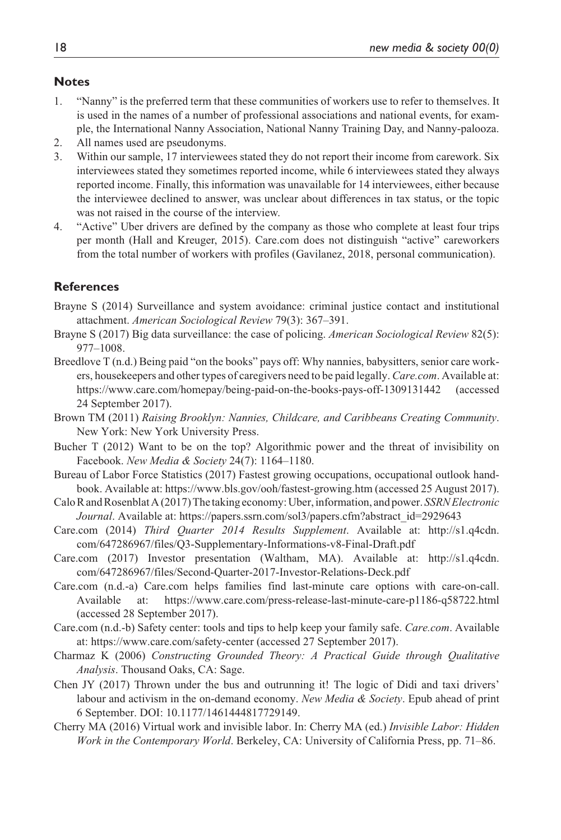#### **Notes**

- 1. "Nanny" is the preferred term that these communities of workers use to refer to themselves. It is used in the names of a number of professional associations and national events, for example, the International Nanny Association, National Nanny Training Day, and Nanny-palooza.
- 2. All names used are pseudonyms.
- 3. Within our sample, 17 interviewees stated they do not report their income from carework. Six interviewees stated they sometimes reported income, while 6 interviewees stated they always reported income. Finally, this information was unavailable for 14 interviewees, either because the interviewee declined to answer, was unclear about differences in tax status, or the topic was not raised in the course of the interview.
- 4. "Active" Uber drivers are defined by the company as those who complete at least four trips per month (Hall and Kreuger, 2015). [Care.com](http://Care.com) does not distinguish "active" careworkers from the total number of workers with profiles (Gavilanez, 2018, personal communication).

#### **References**

- Brayne S (2014) Surveillance and system avoidance: criminal justice contact and institutional attachment. *American Sociological Review* 79(3): 367–391.
- Brayne S (2017) Big data surveillance: the case of policing. *American Sociological Review* 82(5): 977–1008.
- Breedlove T (n.d.) Being paid "on the books" pays off: Why nannies, babysitters, senior care workers, housekeepers and other types of caregivers need to be paid legally. *[Care.com](http://Care.com)*. Available at: <https://www.care.com/homepay/being-paid-on-the-books-pays-off-1309131442>(accessed 24 September 2017).
- Brown TM (2011) *Raising Brooklyn: Nannies, Childcare, and Caribbeans Creating Community*. New York: New York University Press.
- Bucher T (2012) Want to be on the top? Algorithmic power and the threat of invisibility on Facebook. *New Media & Society* 24(7): 1164–1180.
- Bureau of Labor Force Statistics (2017) Fastest growing occupations, occupational outlook handbook. Available at:<https://www.bls.gov/ooh/fastest-growing.htm>(accessed 25 August 2017).
- Calo R and Rosenblat A (2017) The taking economy: Uber, information, and power. *SSRN Electronic Journal*. Available at: [https://papers.ssrn.com/sol3/papers.cfm?abstract\\_id=2929643](https://papers.ssrn.com/sol3/papers.cfm?abstract_id=2929643)
- [Care.com](http://Care.com) (2014) *Third Quarter 2014 Results Supplement*. Available at: [http://s1.q4cdn.](http://s1.q4cdn.com/647286967/files/Q3-Supplementary-Informations-v8-Final-Draft.pdf) [com/647286967/files/Q3-Supplementary-Informations-v8-Final-Draft.pdf](http://s1.q4cdn.com/647286967/files/Q3-Supplementary-Informations-v8-Final-Draft.pdf)
- [Care.com](http://Care.com) (2017) Investor presentation (Waltham, MA). Available at: [http://s1.q4cdn.](http://s1.q4cdn.com/647286967/files/Second-Quarter-2017-Investor-Relations-Deck.pdf) [com/647286967/files/Second-Quarter-2017-Investor-Relations-Deck.pdf](http://s1.q4cdn.com/647286967/files/Second-Quarter-2017-Investor-Relations-Deck.pdf)
- [Care.com](http://Care.com) (n.d.-a) Care.com helps families find last-minute care options with care-on-call. Available at: <https://www.care.com/press-release-last-minute-care-p1186-q58722.html> (accessed 28 September 2017).
- [Care.com](http://Care.com) (n.d.-b) Safety center: tools and tips to help keep your family safe. *[Care.com](http://Care.com)*. Available at: <https://www.care.com/safety-center> (accessed 27 September 2017).
- Charmaz K (2006) *Constructing Grounded Theory: A Practical Guide through Qualitative Analysis*. Thousand Oaks, CA: Sage.
- Chen JY (2017) Thrown under the bus and outrunning it! The logic of Didi and taxi drivers' labour and activism in the on-demand economy. *New Media & Society*. Epub ahead of print 6 September. DOI: 10.1177/1461444817729149.
- Cherry MA (2016) Virtual work and invisible labor. In: Cherry MA (ed.) *Invisible Labor: Hidden Work in the Contemporary World*. Berkeley, CA: University of California Press, pp. 71–86.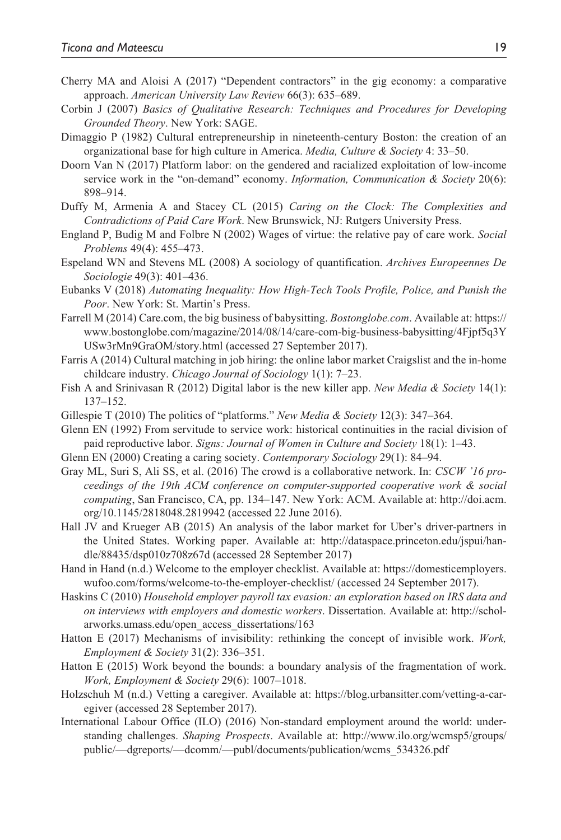- Cherry MA and Aloisi A (2017) "Dependent contractors" in the gig economy: a comparative approach. *American University Law Review* 66(3): 635–689.
- Corbin J (2007) *Basics of Qualitative Research: Techniques and Procedures for Developing Grounded Theory*. New York: SAGE.
- Dimaggio P (1982) Cultural entrepreneurship in nineteenth-century Boston: the creation of an organizational base for high culture in America. *Media, Culture & Society* 4: 33–50.
- Doorn Van N (2017) Platform labor: on the gendered and racialized exploitation of low-income service work in the "on-demand" economy. *Information, Communication & Society* 20(6): 898–914.
- Duffy M, Armenia A and Stacey CL (2015) *Caring on the Clock: The Complexities and Contradictions of Paid Care Work*. New Brunswick, NJ: Rutgers University Press.
- England P, Budig M and Folbre N (2002) Wages of virtue: the relative pay of care work. *Social Problems* 49(4): 455–473.
- Espeland WN and Stevens ML (2008) A sociology of quantification. *Archives Europeennes De Sociologie* 49(3): 401–436.
- Eubanks V (2018) *Automating Inequality: How High-Tech Tools Profile, Police, and Punish the Poor*. New York: St. Martin's Press.
- Farrell M (2014) [Care.com](http://Care.com), the big business of babysitting. *[Bostonglobe.com](http://Bostonglobe.com)*. Available at: [https://](https://www.bostonglobe.com/magazine/2014/08/14/care-com-big-business-babysitting/4Fjpf5q3YUSw3rMn9GraOM/story.html) [www.bostonglobe.com/magazine/2014/08/14/care-com-big-business-babysitting/4Fjpf5q3Y](https://www.bostonglobe.com/magazine/2014/08/14/care-com-big-business-babysitting/4Fjpf5q3YUSw3rMn9GraOM/story.html) [USw3rMn9GraOM/story.html](https://www.bostonglobe.com/magazine/2014/08/14/care-com-big-business-babysitting/4Fjpf5q3YUSw3rMn9GraOM/story.html) (accessed 27 September 2017).
- Farris A (2014) Cultural matching in job hiring: the online labor market Craigslist and the in-home childcare industry. *Chicago Journal of Sociology* 1(1): 7–23.
- Fish A and Srinivasan R (2012) Digital labor is the new killer app. *New Media & Society* 14(1): 137–152.
- Gillespie T (2010) The politics of "platforms." *New Media & Society* 12(3): 347–364.
- Glenn EN (1992) From servitude to service work: historical continuities in the racial division of paid reproductive labor. *Signs: Journal of Women in Culture and Society* 18(1): 1–43.
- Glenn EN (2000) Creating a caring society. *Contemporary Sociology* 29(1): 84–94.
- Gray ML, Suri S, Ali SS, et al. (2016) The crowd is a collaborative network. In: *CSCW '16 proceedings of the 19th ACM conference on computer-supported cooperative work & social computing*, San Francisco, CA, pp. 134–147. New York: ACM. Available at: [http://doi.acm.](http://doi.acm.org/10.1145/2818048.2819942) [org/10.1145/2818048.2819942](http://doi.acm.org/10.1145/2818048.2819942) (accessed 22 June 2016).
- Hall JV and Krueger AB (2015) An analysis of the labor market for Uber's driver-partners in the United States. Working paper. Available at: [http://dataspace.princeton.edu/jspui/han](http://dataspace.princeton.edu/jspui/handle/88435/dsp010z708z67d)[dle/88435/dsp010z708z67d](http://dataspace.princeton.edu/jspui/handle/88435/dsp010z708z67d) (accessed 28 September 2017)
- Hand in Hand (n.d.) Welcome to the employer checklist. Available at: [https://domesticemployers.](https://domesticemployers.wufoo.com/forms/welcome-to-the-employer-checklist/) [wufoo.com/forms/welcome-to-the-employer-checklist/](https://domesticemployers.wufoo.com/forms/welcome-to-the-employer-checklist/) (accessed 24 September 2017).
- Haskins C (2010) *Household employer payroll tax evasion: an exploration based on IRS data and on interviews with employers and domestic workers*. Dissertation. Available at: [http://schol](http://scholarworks.umass.edu/open_access_dissertations/163)[arworks.umass.edu/open\\_access\\_dissertations/163](http://scholarworks.umass.edu/open_access_dissertations/163)
- Hatton E (2017) Mechanisms of invisibility: rethinking the concept of invisible work. *Work, Employment & Society* 31(2): 336–351.
- Hatton E (2015) Work beyond the bounds: a boundary analysis of the fragmentation of work. *Work, Employment & Society* 29(6): 1007–1018.
- Holzschuh M (n.d.) Vetting a caregiver. Available at: [https://blog.urbansitter.com/vetting-a-car](https://blog.urbansitter.com/vetting-a-caregiver)[egiver](https://blog.urbansitter.com/vetting-a-caregiver) (accessed 28 September 2017).
- International Labour Office (ILO) (2016) Non-standard employment around the world: understanding challenges. *Shaping Prospects*. Available at: [http://www.ilo.org/wcmsp5/groups/](http://www.ilo.org/wcmsp5/groups/public/) [public/](http://www.ilo.org/wcmsp5/groups/public/)—dgreports/—dcomm/—publ/documents/publication/wcms\_534326.pdf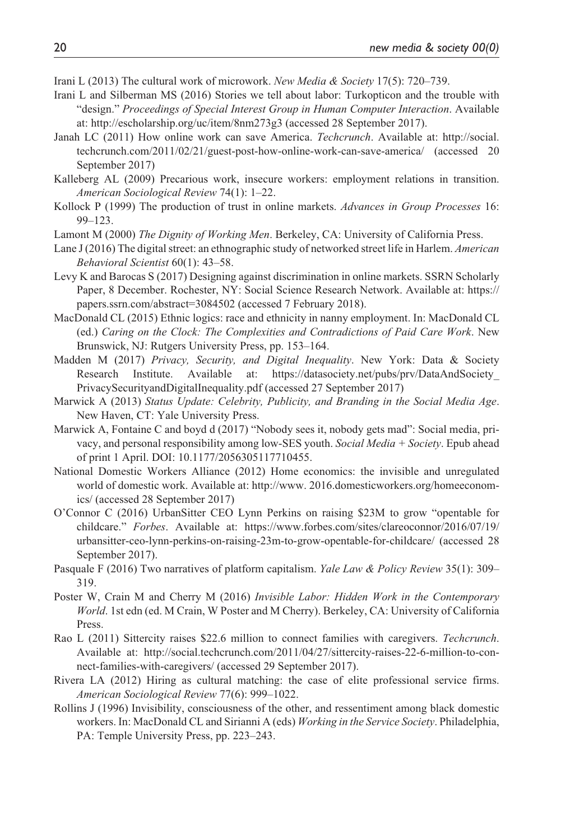Irani L (2013) The cultural work of microwork. *New Media & Society* 17(5): 720–739.

- Irani L and Silberman MS (2016) Stories we tell about labor: Turkopticon and the trouble with "design." *Proceedings of Special Interest Group in Human Computer Interaction*. Available at: <http://escholarship.org/uc/item/8nm273g3> (accessed 28 September 2017).
- Janah LC (2011) How online work can save America. *Techcrunch*. Available at: [http://social.](http://social.techcrunch.com/2011/02/21/guest-post-how-online-work-can-save-america/) [techcrunch.com/2011/02/21/guest-post-how-online-work-can-save-america/](http://social.techcrunch.com/2011/02/21/guest-post-how-online-work-can-save-america/) (accessed 20 September 2017)
- Kalleberg AL (2009) Precarious work, insecure workers: employment relations in transition. *American Sociological Review* 74(1): 1–22.
- Kollock P (1999) The production of trust in online markets. *Advances in Group Processes* 16: 99–123.
- Lamont M (2000) *The Dignity of Working Men*. Berkeley, CA: University of California Press.
- Lane J (2016) The digital street: an ethnographic study of networked street life in Harlem. *American Behavioral Scientist* 60(1): 43–58.
- Levy K and Barocas S (2017) Designing against discrimination in online markets. SSRN Scholarly Paper, 8 December. Rochester, NY: Social Science Research Network. Available at: [https://](https://papers.ssrn.com/abstract=3084502) [papers.ssrn.com/abstract=3084502](https://papers.ssrn.com/abstract=3084502) (accessed 7 February 2018).
- MacDonald CL (2015) Ethnic logics: race and ethnicity in nanny employment. In: MacDonald CL (ed.) *Caring on the Clock: The Complexities and Contradictions of Paid Care Work*. New Brunswick, NJ: Rutgers University Press, pp. 153–164.
- Madden M (2017) *Privacy, Security, and Digital Inequality*. New York: Data & Society Research Institute. Available at: [https://datasociety.net/pubs/prv/DataAndSociety\\_](https://datasociety.net/pubs/prv/DataAndSociety_PrivacySecurityandDigitalInequality.pdf) [PrivacySecurityandDigitalInequality.pdf](https://datasociety.net/pubs/prv/DataAndSociety_PrivacySecurityandDigitalInequality.pdf) (accessed 27 September 2017)
- Marwick A (2013) *Status Update: Celebrity, Publicity, and Branding in the Social Media Age*. New Haven, CT: Yale University Press.
- Marwick A, Fontaine C and boyd d (2017) "Nobody sees it, nobody gets mad": Social media, privacy, and personal responsibility among low-SES youth. *Social Media + Society*. Epub ahead of print 1 April. DOI: 10.1177/2056305117710455.
- National Domestic Workers Alliance (2012) Home economics: the invisible and unregulated world of domestic work. Available at: [http://www. 2016.domesticworkers.org/homeeconom](http://www. 2016.domesticworkers.org/homeeconomics/)[ics/](http://www. 2016.domesticworkers.org/homeeconomics/) (accessed 28 September 2017)
- O'Connor C (2016) UrbanSitter CEO Lynn Perkins on raising \$23M to grow "opentable for childcare." *Forbes*. Available at: [https://www.forbes.com/sites/clareoconnor/2016/07/19/](https://www.forbes.com/sites/clareoconnor/2016/07/19/urbansitter-ceo-lynn-perkins-on-raising-23m-to-grow-opentable-for-childcare/) [urbansitter-ceo-lynn-perkins-on-raising-23m-to-grow-opentable-for-childcare/](https://www.forbes.com/sites/clareoconnor/2016/07/19/urbansitter-ceo-lynn-perkins-on-raising-23m-to-grow-opentable-for-childcare/) (accessed 28 September 2017).
- Pasquale F (2016) Two narratives of platform capitalism. *Yale Law & Policy Review* 35(1): 309– 319.
- Poster W, Crain M and Cherry M (2016) *Invisible Labor: Hidden Work in the Contemporary World*. 1st edn (ed. M Crain, W Poster and M Cherry). Berkeley, CA: University of California Press.
- Rao L (2011) Sittercity raises \$22.6 million to connect families with caregivers. *Techcrunch*. Available at: [http://social.techcrunch.com/2011/04/27/sittercity-raises-22-6-million-to-con](http://social.techcrunch.com/2011/04/27/sittercity-raises-22-6-million-to-connect-families-with-caregivers/)[nect-families-with-caregivers/](http://social.techcrunch.com/2011/04/27/sittercity-raises-22-6-million-to-connect-families-with-caregivers/) (accessed 29 September 2017).
- Rivera LA (2012) Hiring as cultural matching: the case of elite professional service firms. *American Sociological Review* 77(6): 999–1022.
- Rollins J (1996) Invisibility, consciousness of the other, and ressentiment among black domestic workers. In: MacDonald CL and Sirianni A (eds) *Working in the Service Society*. Philadelphia, PA: Temple University Press, pp. 223–243.